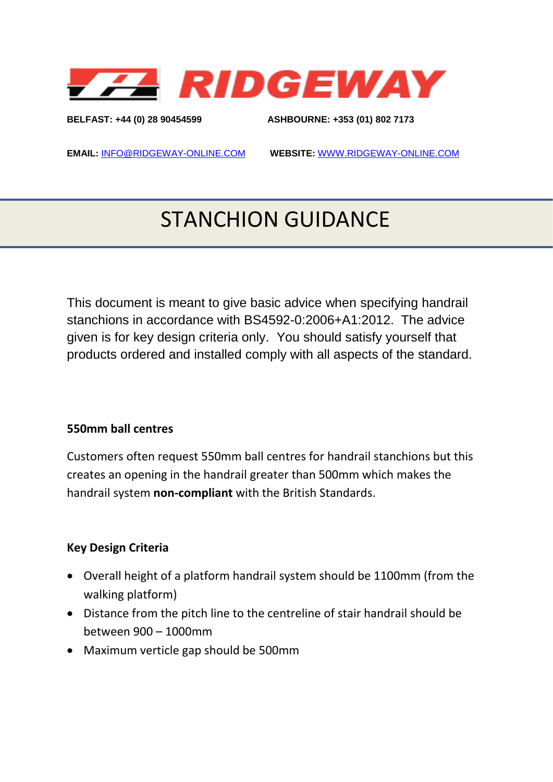

**BELFAST: +44 (0) 28 90454599 ASHBOURNE: +353 (01) 802 7173** 

**EMAIL:** [INFO@RIDGEWAY-ONLINE.COM](mailto:INFO@RIDGEWAY-ONLINE.COM) **WEBSITE:** [WWW.RIDGEWAY-ONLINE.COM](http://www.ridgeway-online.com/)

# STANCHION GUIDANCE

This document is meant to give basic advice when specifying handrail stanchions in accordance with BS4592-0:2006+A1:2012. The advice given is for key design criteria only. You should satisfy yourself that products ordered and installed comply with all aspects of the standard.

#### **550mm ball centres**

Customers often request 550mm ball centres for handrail stanchions but this creates an opening in the handrail greater than 500mm which makes the handrail system **non-compliant** with the British Standards.

#### **Key Design Criteria**

- Overall height of a platform handrail system should be 1100mm (from the walking platform)
- Distance from the pitch line to the centreline of stair handrail should be between 900 – 1000mm
- Maximum verticle gap should be 500mm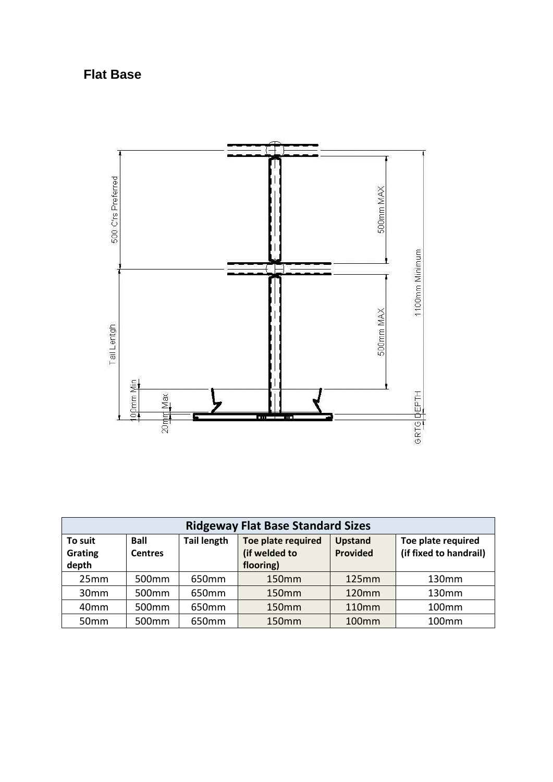## **Flat Base**



| <b>Ridgeway Flat Base Standard Sizes</b> |                               |                    |                                                  |                            |                                              |  |  |
|------------------------------------------|-------------------------------|--------------------|--------------------------------------------------|----------------------------|----------------------------------------------|--|--|
| To suit<br>Grating<br>depth              | <b>Ball</b><br><b>Centres</b> | <b>Tail length</b> | Toe plate required<br>(if welded to<br>flooring) | <b>Upstand</b><br>Provided | Toe plate required<br>(if fixed to handrail) |  |  |
| 25mm                                     | 500 <sub>mm</sub>             | 650mm              | 150mm                                            | 125mm                      | 130mm                                        |  |  |
| 30mm                                     | 500mm                         | 650mm              | 150mm                                            | 120mm                      | 130mm                                        |  |  |
| 40mm                                     | 500mm                         | 650mm              | 150mm                                            | 110mm                      | 100mm                                        |  |  |
| 50 <sub>mm</sub>                         | 500 <sub>mm</sub>             | 650mm              | 150 <sub>mm</sub>                                | 100mm                      | 100 <sub>mm</sub>                            |  |  |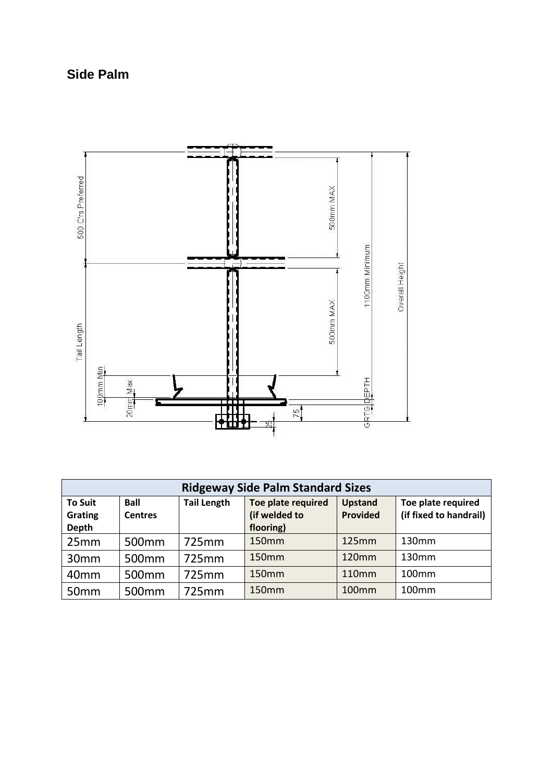## **Side Palm**



| <b>Ridgeway Side Palm Standard Sizes</b> |                               |                    |                                     |                            |                                              |  |  |  |
|------------------------------------------|-------------------------------|--------------------|-------------------------------------|----------------------------|----------------------------------------------|--|--|--|
| <b>To Suit</b><br><b>Grating</b>         | <b>Ball</b><br><b>Centres</b> | <b>Tail Length</b> | Toe plate required<br>(if welded to | <b>Upstand</b><br>Provided | Toe plate required<br>(if fixed to handrail) |  |  |  |
| <b>Depth</b>                             |                               |                    | flooring)                           |                            |                                              |  |  |  |
| 25mm                                     | 500 <sub>mm</sub>             | 725mm              | 150mm                               | 125mm                      | 130mm                                        |  |  |  |
| 30 <sub>mm</sub>                         | 500 <sub>mm</sub>             | 725mm              | 150mm                               | 120mm                      | 130mm                                        |  |  |  |
| 40 <sub>mm</sub>                         | 500 <sub>mm</sub>             | 725mm              | 150mm                               | 110mm                      | 100 <sub>mm</sub>                            |  |  |  |
| 50mm                                     | 500 <sub>mm</sub>             | 725mm              | 150mm                               | 100mm                      | 100mm                                        |  |  |  |